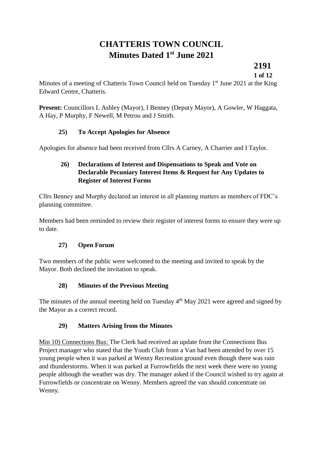# **CHATTERIS TOWN COUNCIL Minutes Dated 1st June 2021**

**2191**

**1 of 12**

Minutes of a meeting of Chatteris Town Council held on Tuesday  $1<sup>st</sup>$  June 2021 at the King Edward Centre, Chatteris.

Present: Councillors L Ashley (Mayor), I Benney (Deputy Mayor), A Gowler, W Haggata, A Hay, P Murphy, F Newell, M Petrou and J Smith.

# **25) To Accept Apologies for Absence**

Apologies for absence had been received from Cllrs A Carney, A Charrier and I Taylor.

# **26) Declarations of Interest and Dispensations to Speak and Vote on Declarable Pecuniary Interest Items & Request for Any Updates to Register of Interest Forms**

Cllrs Benney and Murphy declared an interest in all planning matters as members of FDC's planning committee.

Members had been reminded to review their register of interest forms to ensure they were up to date.

# **27) Open Forum**

Two members of the public were welcomed to the meeting and invited to speak by the Mayor. Both declined the invitation to speak.

# **28) Minutes of the Previous Meeting**

The minutes of the annual meeting held on Tuesday  $4<sup>th</sup>$  May 2021 were agreed and signed by the Mayor as a correct record.

# **29) Matters Arising from the Minutes**

Min 10) Connections Bus: The Clerk had received an update from the Connections Bus Project manager who stated that the Youth Club from a Van had been attended by over 15 young people when it was parked at Wenny Recreation ground even though there was rain and thunderstorms. When it was parked at Furrowfields the next week there were no young people although the weather was dry. The manager asked if the Council wished to try again at Furrowfields or concentrate on Wenny. Members agreed the van should concentrate on Wenny.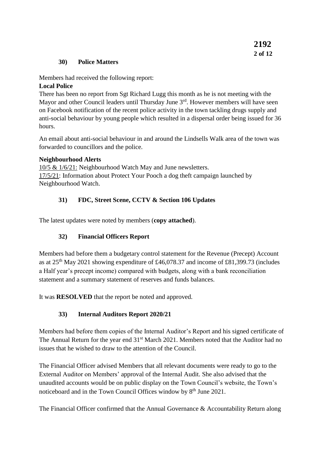#### **30) Police Matters**

Members had received the following report:

#### **Local Police**

There has been no report from Sgt Richard Lugg this month as he is not meeting with the Mayor and other Council leaders until Thursday June  $3<sup>rd</sup>$ . However members will have seen on Facebook notification of the recent police activity in the town tackling drugs supply and anti-social behaviour by young people which resulted in a dispersal order being issued for 36 hours.

An email about anti-social behaviour in and around the Lindsells Walk area of the town was forwarded to councillors and the police.

#### **Neighbourhood Alerts**

10/5 & 1/6/21: Neighbourhood Watch May and June newsletters. 17/5/21: Information about Protect Your Pooch a dog theft campaign launched by Neighbourhood Watch.

# **31) FDC, Street Scene, CCTV & Section 106 Updates**

The latest updates were noted by members (**copy attached**).

# **32) Financial Officers Report**

Members had before them a budgetary control statement for the Revenue (Precept) Account as at  $25<sup>th</sup>$  May 2021 showing expenditure of £46,078.37 and income of £81,399.73 (includes a Half year's precept income) compared with budgets, along with a bank reconciliation statement and a summary statement of reserves and funds balances.

It was **RESOLVED** that the report be noted and approved.

# **33) Internal Auditors Report 2020/21**

Members had before them copies of the Internal Auditor's Report and his signed certificate of The Annual Return for the year end 31<sup>st</sup> March 2021. Members noted that the Auditor had no issues that he wished to draw to the attention of the Council.

The Financial Officer advised Members that all relevant documents were ready to go to the External Auditor on Members' approval of the Internal Audit. She also advised that the unaudited accounts would be on public display on the Town Council's website, the Town's noticeboard and in the Town Council Offices window by 8<sup>th</sup> June 2021.

The Financial Officer confirmed that the Annual Governance & Accountability Return along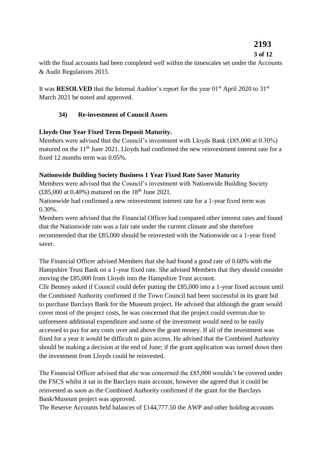# **2193**

# **3 of 12**

with the final accounts had been completed well within the timescales set under the Accounts & Audit Regulations 2015.

It was **RESOLVED** that the Internal Auditor's report for the year 01<sup>st</sup> April 2020 to 31<sup>st</sup> March 2021 be noted and approved.

# **34) Re-investment of Council Assets**

# **Lloyds One Year Fixed Term Deposit Maturity.**

Members were advised that the Council's investment with Lloyds Bank (£85,000 at 0.30%) matured on the  $11<sup>th</sup>$  June 2021. Lloyds had confirmed the new reinvestment interest rate for a fixed 12 months term was 0.05%.

#### **Nationwide Building Society Business 1 Year Fixed Rate Saver Maturity**

Members were advised that the Council's investment with Nationwide Building Society (£85,000 at 0.40%) matured on the  $18^{th}$  June 2021.

Nationwide had confirmed a new reinvestment interest rate for a 1-year fixed term was 0.30%.

Members were advised that the Financial Officer had compared other interest rates and found that the Nationwide rate was a fair rate under the current climate and she therefore recommended that the £85,000 should be reinvested with the Nationwide on a 1-year fixed saver.

The Financial Officer advised Members that she had found a good rate of 0.60% with the Hampshire Trust Bank on a 1-year fixed rate. She advised Members that they should consider moving the £85,000 from Lloyds into the Hampshire Trust account.

Cllr Benney asked if Council could defer putting the £85,000 into a 1-year fixed account until the Combined Authority confirmed if the Town Council had been successful in its grant bid to purchase Barclays Bank for the Museum project. He advised that although the grant would cover most of the project costs, he was concerned that the project could overrun due to unforeseen additional expenditure and some of the investment would need to be easily accessed to pay for any costs over and above the grant money. If all of the investment was fixed for a year it would be difficult to gain access. He advised that the Combined Authority should be making a decision at the end of June; if the grant application was turned down then the investment from Lloyds could be reinvested.

The Financial Officer advised that she was concerned the £85,000 wouldn't be covered under the FSCS whilst it sat in the Barclays main account, however she agreed that it could be reinvested as soon as the Combined Authority confirmed if the grant for the Barclays Bank/Museum project was approved.

The Reserve Accounts held balances of £144,777.50 the AWP and other holding accounts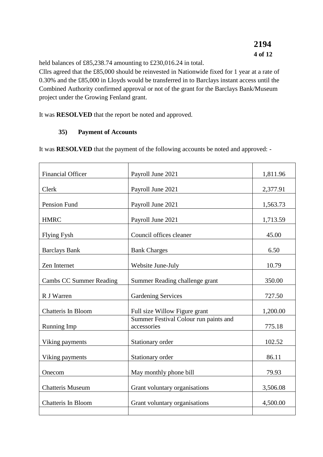held balances of £85,238.74 amounting to £230,016.24 in total.

Cllrs agreed that the £85,000 should be reinvested in Nationwide fixed for 1 year at a rate of 0.30% and the £85,000 in Lloyds would be transferred in to Barclays instant access until the Combined Authority confirmed approval or not of the grant for the Barclays Bank/Museum project under the Growing Fenland grant.

It was **RESOLVED** that the report be noted and approved.

# **35) Payment of Accounts**

It was **RESOLVED** that the payment of the following accounts be noted and approved: -

| <b>Financial Officer</b>       | Payroll June 2021                                    | 1,811.96 |
|--------------------------------|------------------------------------------------------|----------|
| Clerk                          | Payroll June 2021                                    | 2,377.91 |
| Pension Fund                   | Payroll June 2021                                    | 1,563.73 |
| <b>HMRC</b>                    | Payroll June 2021                                    | 1,713.59 |
| <b>Flying Fysh</b>             | Council offices cleaner                              | 45.00    |
| <b>Barclays Bank</b>           | <b>Bank Charges</b>                                  | 6.50     |
| Zen Internet                   | Website June-July                                    | 10.79    |
| <b>Cambs CC Summer Reading</b> | Summer Reading challenge grant                       | 350.00   |
| R J Warren                     | <b>Gardening Services</b>                            | 727.50   |
| Chatteris In Bloom             | Full size Willow Figure grant                        | 1,200.00 |
| <b>Running Imp</b>             | Summer Festival Colour run paints and<br>accessories | 775.18   |
| Viking payments                | Stationary order                                     | 102.52   |
| Viking payments                | Stationary order                                     | 86.11    |
| Onecom                         | May monthly phone bill                               | 79.93    |
| <b>Chatteris Museum</b>        | Grant voluntary organisations                        | 3,506.08 |
| <b>Chatteris In Bloom</b>      | Grant voluntary organisations                        | 4,500.00 |
|                                |                                                      |          |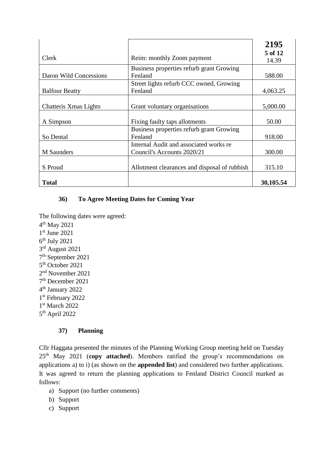|                        |                                              | 2195             |
|------------------------|----------------------------------------------|------------------|
| Clerk                  | Reim: monthly Zoom payment                   | 5 of 12<br>14.39 |
|                        | Business properties refurb grant Growing     |                  |
| Daron Wild Concessions | Fenland                                      | 588.00           |
|                        | Street lights refurb CCC owned, Growing      |                  |
| <b>Balfour Beatty</b>  | Fenland                                      | 4,063.25         |
|                        |                                              |                  |
| Chatteris Xmas Lights  | Grant voluntary organisations                | 5,000.00         |
|                        |                                              |                  |
| A Simpson              | Fixing faulty taps allotments                | 50.00            |
|                        | Business properties refurb grant Growing     |                  |
| So Dental              | Fenland                                      | 918.00           |
|                        | Internal Audit and associated works re       |                  |
| <b>M</b> Saunders      | Council's Accounts 2020/21                   | 300.00           |
|                        |                                              |                  |
| S Proud                | Allotment clearances and disposal of rubbish | 315.10           |
|                        |                                              |                  |
| <b>Total</b>           |                                              | 30,105.54        |

# **36) To Agree Meeting Dates for Coming Year**

The following dates were agreed:

 th May 2021 st June 2021 th July 2021 3rd August 2021 th September 2021 5<sup>th</sup> October 2021 nd November 2021 th December 2021 th January 2022 st February 2022 st March 2022 5<sup>th</sup> April 2022

#### **37) Planning**

Cllr Haggata presented the minutes of the Planning Working Group meeting held on Tuesday 25th May 2021 (**copy attached**). Members ratified the group's recommendations on applications a) to i) (as shown on the **appended list**) and considered two further applications. It was agreed to return the planning applications to Fenland District Council marked as follows:

- a) Support (no further comments)
- b) Support
- c) Support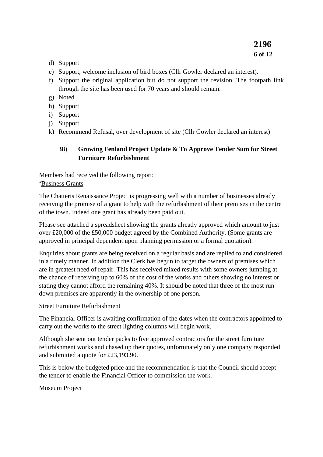- d) Support
- e) Support, welcome inclusion of bird boxes (Cllr Gowler declared an interest).
- f) Support the original application but do not support the revision. The footpath link through the site has been used for 70 years and should remain.
- g) Noted
- h) Support
- i) Support
- j) Support
- k) Recommend Refusal, over development of site (Cllr Gowler declared an interest)

## **38) Growing Fenland Project Update & To Approve Tender Sum for Street Furniture Refurbishment**

Members had received the following report:

#### **'**Business Grants

The Chatteris Renaissance Project is progressing well with a number of businesses already receiving the promise of a grant to help with the refurbishment of their premises in the centre of the town. Indeed one grant has already been paid out.

Please see attached a spreadsheet showing the grants already approved which amount to just over £20,000 of the £50,000 budget agreed by the Combined Authority. (Some grants are approved in principal dependent upon planning permission or a formal quotation).

Enquiries about grants are being received on a regular basis and are replied to and considered in a timely manner. In addition the Clerk has begun to target the owners of premises which are in greatest need of repair. This has received mixed results with some owners jumping at the chance of receiving up to 60% of the cost of the works and others showing no interest or stating they cannot afford the remaining 40%. It should be noted that three of the most run down premises are apparently in the ownership of one person.

#### Street Furniture Refurbishment

The Financial Officer is awaiting confirmation of the dates when the contractors appointed to carry out the works to the street lighting columns will begin work.

Although she sent out tender packs to five approved contractors for the street furniture refurbishment works and chased up their quotes, unfortunately only one company responded and submitted a quote for £23,193.90.

This is below the budgeted price and the recommendation is that the Council should accept the tender to enable the Financial Officer to commission the work.

#### Museum Project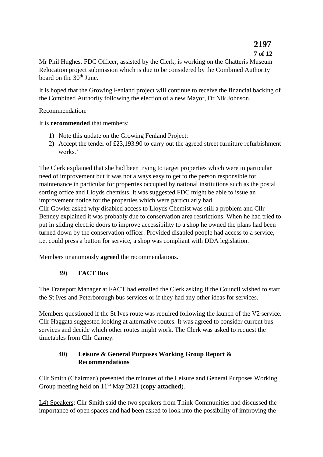# **2197**

# **7 of 12**

Mr Phil Hughes, FDC Officer, assisted by the Clerk, is working on the Chatteris Museum Relocation project submission which is due to be considered by the Combined Authority board on the 30<sup>th</sup> June.

It is hoped that the Growing Fenland project will continue to receive the financial backing of the Combined Authority following the election of a new Mayor, Dr Nik Johnson.

#### Recommendation:

It is **recommended** that members:

- 1) Note this update on the Growing Fenland Project;
- 2) Accept the tender of £23,193.90 to carry out the agreed street furniture refurbishment works.'

The Clerk explained that she had been trying to target properties which were in particular need of improvement but it was not always easy to get to the person responsible for maintenance in particular for properties occupied by national institutions such as the postal sorting office and Lloyds chemists. It was suggested FDC might be able to issue an improvement notice for the properties which were particularly bad.

Cllr Gowler asked why disabled access to Lloyds Chemist was still a problem and Cllr Benney explained it was probably due to conservation area restrictions. When he had tried to put in sliding electric doors to improve accessibility to a shop he owned the plans had been turned down by the conservation officer. Provided disabled people had access to a service, i.e. could press a button for service, a shop was compliant with DDA legislation.

Members unanimously **agreed** the recommendations.

# **39) FACT Bus**

The Transport Manager at FACT had emailed the Clerk asking if the Council wished to start the St Ives and Peterborough bus services or if they had any other ideas for services.

Members questioned if the St Ives route was required following the launch of the V2 service. Cllr Haggata suggested looking at alternative routes. It was agreed to consider current bus services and decide which other routes might work. The Clerk was asked to request the timetables from Cllr Carney.

# **40) Leisure & General Purposes Working Group Report & Recommendations**

Cllr Smith (Chairman) presented the minutes of the Leisure and General Purposes Working Group meeting held on 11<sup>th</sup> May 2021 (**copy attached**).

L4) Speakers: Cllr Smith said the two speakers from Think Communities had discussed the importance of open spaces and had been asked to look into the possibility of improving the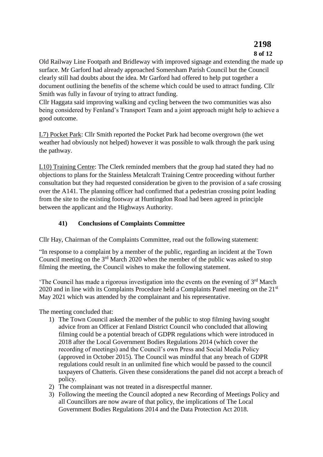# **2198 8 of 12**

Old Railway Line Footpath and Bridleway with improved signage and extending the made up surface. Mr Garford had already approached Somersham Parish Council but the Council clearly still had doubts about the idea. Mr Garford had offered to help put together a document outlining the benefits of the scheme which could be used to attract funding. Cllr Smith was fully in favour of trying to attract funding.

Cllr Haggata said improving walking and cycling between the two communities was also being considered by Fenland's Transport Team and a joint approach might help to achieve a good outcome.

L7) Pocket Park: Cllr Smith reported the Pocket Park had become overgrown (the wet weather had obviously not helped) however it was possible to walk through the park using the pathway.

L10) Training Centre: The Clerk reminded members that the group had stated they had no objections to plans for the Stainless Metalcraft Training Centre proceeding without further consultation but they had requested consideration be given to the provision of a safe crossing over the A141. The planning officer had confirmed that a pedestrian crossing point leading from the site to the existing footway at Huntingdon Road had been agreed in principle between the applicant and the Highways Authority.

# **41) Conclusions of Complaints Committee**

Cllr Hay, Chairman of the Complaints Committee, read out the following statement:

"In response to a complaint by a member of the public, regarding an incident at the Town Council meeting on the  $3<sup>rd</sup>$  March 2020 when the member of the public was asked to stop filming the meeting, the Council wishes to make the following statement.

'The Council has made a rigorous investigation into the events on the evening of  $3<sup>rd</sup>$  March  $2020$  and in line with its Complaints Procedure held a Complaints Panel meeting on the  $21<sup>st</sup>$ May 2021 which was attended by the complainant and his representative.

The meeting concluded that:

- 1) The Town Council asked the member of the public to stop filming having sought advice from an Officer at Fenland District Council who concluded that allowing filming could be a potential breach of GDPR regulations which were introduced in 2018 after the Local Government Bodies Regulations 2014 (which cover the recording of meetings) and the Council's own Press and Social Media Policy (approved in October 2015). The Council was mindful that any breach of GDPR regulations could result in an unlimited fine which would be passed to the council taxpayers of Chatteris. Given these considerations the panel did not accept a breach of policy.
- 2) The complainant was not treated in a disrespectful manner.
- 3) Following the meeting the Council adopted a new Recording of Meetings Policy and all Councillors are now aware of that policy, the implications of The Local Government Bodies Regulations 2014 and the Data Protection Act 2018.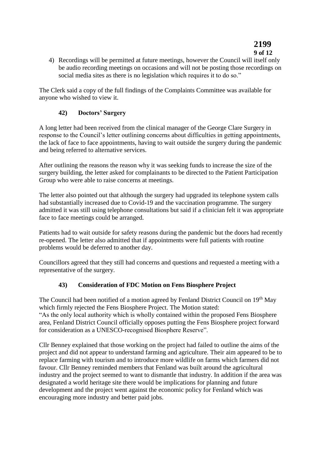# **2199 9 of 12**

4) Recordings will be permitted at future meetings, however the Council will itself only be audio recording meetings on occasions and will not be posting those recordings on social media sites as there is no legislation which requires it to do so."

The Clerk said a copy of the full findings of the Complaints Committee was available for anyone who wished to view it.

#### **42) Doctors' Surgery**

A long letter had been received from the clinical manager of the George Clare Surgery in response to the Council's letter outlining concerns about difficulties in getting appointments, the lack of face to face appointments, having to wait outside the surgery during the pandemic and being referred to alternative services.

After outlining the reasons the reason why it was seeking funds to increase the size of the surgery building, the letter asked for complainants to be directed to the Patient Participation Group who were able to raise concerns at meetings.

The letter also pointed out that although the surgery had upgraded its telephone system calls had substantially increased due to Covid-19 and the vaccination programme. The surgery admitted it was still using telephone consultations but said if a clinician felt it was appropriate face to face meetings could be arranged.

Patients had to wait outside for safety reasons during the pandemic but the doors had recently re-opened. The letter also admitted that if appointments were full patients with routine problems would be deferred to another day.

Councillors agreed that they still had concerns and questions and requested a meeting with a representative of the surgery.

# **43) Consideration of FDC Motion on Fens Biosphere Project**

The Council had been notified of a motion agreed by Fenland District Council on 19<sup>th</sup> May which firmly rejected the Fens Biosphere Project. The Motion stated:

"As the only local authority which is wholly contained within the proposed Fens Biosphere area, Fenland District Council officially opposes putting the Fens Biosphere project forward for consideration as a UNESCO-recognised Biosphere Reserve".

Cllr Benney explained that those working on the project had failed to outline the aims of the project and did not appear to understand farming and agriculture. Their aim appeared to be to replace farming with tourism and to introduce more wildlife on farms which farmers did not favour. Cllr Benney reminded members that Fenland was built around the agricultural industry and the project seemed to want to dismantle that industry. In addition if the area was designated a world heritage site there would be implications for planning and future development and the project went against the economic policy for Fenland which was encouraging more industry and better paid jobs.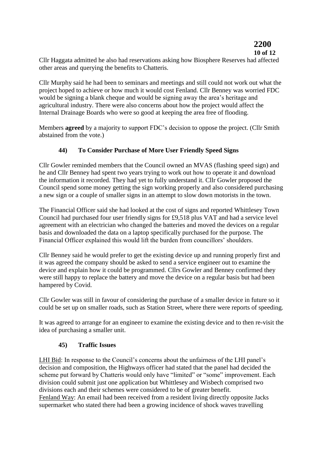# **2200**

#### **10 of 12**

Cllr Haggata admitted he also had reservations asking how Biosphere Reserves had affected other areas and querying the benefits to Chatteris.

Cllr Murphy said he had been to seminars and meetings and still could not work out what the project hoped to achieve or how much it would cost Fenland. Cllr Benney was worried FDC would be signing a blank cheque and would be signing away the area's heritage and agricultural industry. There were also concerns about how the project would affect the Internal Drainage Boards who were so good at keeping the area free of flooding.

Members **agreed** by a majority to support FDC's decision to oppose the project. (Cllr Smith abstained from the vote.)

#### **44) To Consider Purchase of More User Friendly Speed Signs**

Cllr Gowler reminded members that the Council owned an MVAS (flashing speed sign) and he and Cllr Benney had spent two years trying to work out how to operate it and download the information it recorded. They had yet to fully understand it. Cllr Gowler proposed the Council spend some money getting the sign working properly and also considered purchasing a new sign or a couple of smaller signs in an attempt to slow down motorists in the town.

The Financial Officer said she had looked at the cost of signs and reported Whittlesey Town Council had purchased four user friendly signs for £9,518 plus VAT and had a service level agreement with an electrician who changed the batteries and moved the devices on a regular basis and downloaded the data on a laptop specifically purchased for the purpose. The Financial Officer explained this would lift the burden from councillors' shoulders.

Cllr Benney said he would prefer to get the existing device up and running properly first and it was agreed the company should be asked to send a service engineer out to examine the device and explain how it could be programmed. Cllrs Gowler and Benney confirmed they were still happy to replace the battery and move the device on a regular basis but had been hampered by Covid.

Cllr Gowler was still in favour of considering the purchase of a smaller device in future so it could be set up on smaller roads, such as Station Street, where there were reports of speeding.

It was agreed to arrange for an engineer to examine the existing device and to then re-visit the idea of purchasing a smaller unit.

#### **45) Traffic Issues**

LHI Bid: In response to the Council's concerns about the unfairness of the LHI panel's decision and composition, the Highways officer had stated that the panel had decided the scheme put forward by Chatteris would only have "limited" or "some" improvement. Each division could submit just one application but Whittlesey and Wisbech comprised two divisions each and their schemes were considered to be of greater benefit. Fenland Way: An email had been received from a resident living directly opposite Jacks supermarket who stated there had been a growing incidence of shock waves travelling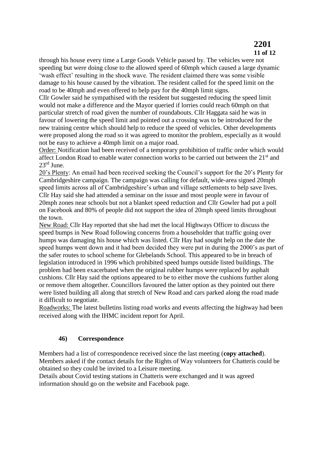# **2201 11 of 12**

through his house every time a Large Goods Vehicle passed by. The vehicles were not speeding but were doing close to the allowed speed of 60mph which caused a large dynamic 'wash effect' resulting in the shock wave. The resident claimed there was some visible damage to his house caused by the vibration. The resident called for the speed limit on the road to be 40mph and even offered to help pay for the 40mph limit signs.

Cllr Gowler said he sympathised with the resident but suggested reducing the speed limit would not make a difference and the Mayor queried if lorries could reach 60mph on that particular stretch of road given the number of roundabouts. Cllr Haggata said he was in favour of lowering the speed limit and pointed out a crossing was to be introduced for the new training centre which should help to reduce the speed of vehicles. Other developments were proposed along the road so it was agreed to monitor the problem, especially as it would not be easy to achieve a 40mph limit on a major road.

Order: Notification had been received of a temporary prohibition of traffic order which would affect London Road to enable water connection works to be carried out between the 21<sup>st</sup> and 23rd June.

20's Plenty: An email had been received seeking the Council's support for the 20's Plenty for Cambridgeshire campaign. The campaign was calling for default, wide-area signed 20mph speed limits across all of Cambridgeshire's urban and village settlements to help save lives. Cllr Hay said she had attended a seminar on the issue and most people were in favour of 20mph zones near schools but not a blanket speed reduction and Cllr Gowler had put a poll on Facebook and 80% of people did not support the idea of 20mph speed limits throughout the town.

New Road: Cllr Hay reported that she had met the local Highways Officer to discuss the speed bumps in New Road following concerns from a householder that traffic going over humps was damaging his house which was listed. Cllr Hay had sought help on the date the speed humps went down and it had been decided they were put in during the 2000's as part of the safer routes to school scheme for Glebelands School. This appeared to be in breach of legislation introduced in 1996 which prohibited speed humps outside listed buildings. The problem had been exacerbated when the original rubber humps were replaced by asphalt cushions. Cllr Hay said the options appeared to be to either move the cushions further along or remove them altogether. Councillors favoured the latter option as they pointed out there were listed building all along that stretch of New Road and cars parked along the road made it difficult to negotiate.

Roadworks: The latest bulletins listing road works and events affecting the highway had been received along with the IHMC incident report for April.

# **46) Correspondence**

Members had a list of correspondence received since the last meeting (**copy attached**). Members asked if the contact details for the Rights of Way volunteers for Chatteris could be obtained so they could be invited to a Leisure meeting.

Details about Covid testing stations in Chatteris were exchanged and it was agreed information should go on the website and Facebook page.